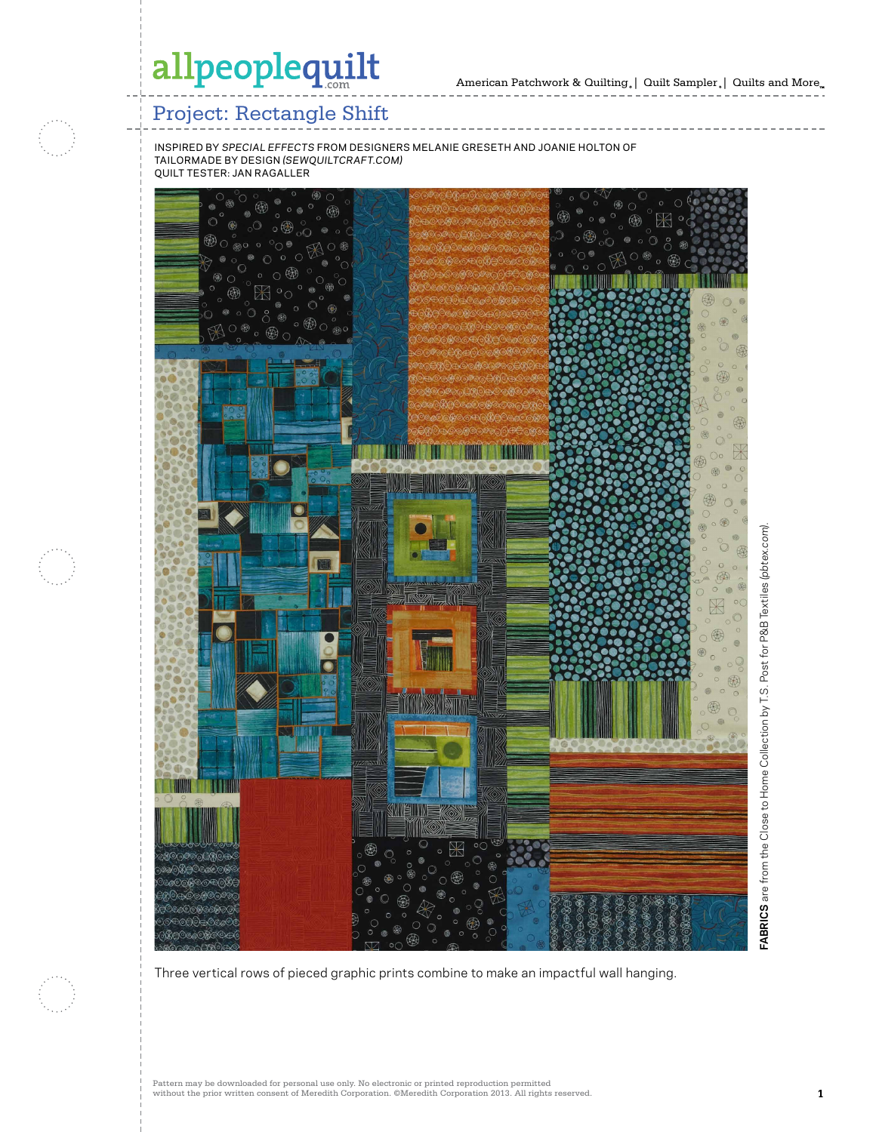

### Project: Rectangle Shift

inspired by *special effects* from designers melanie greseth and joanie holton of tailormade by design *(sewquiltcraft.com)* quilt tester: jan ragaller



Three vertical rows of pieced graphic prints combine to make an impactful wall hanging.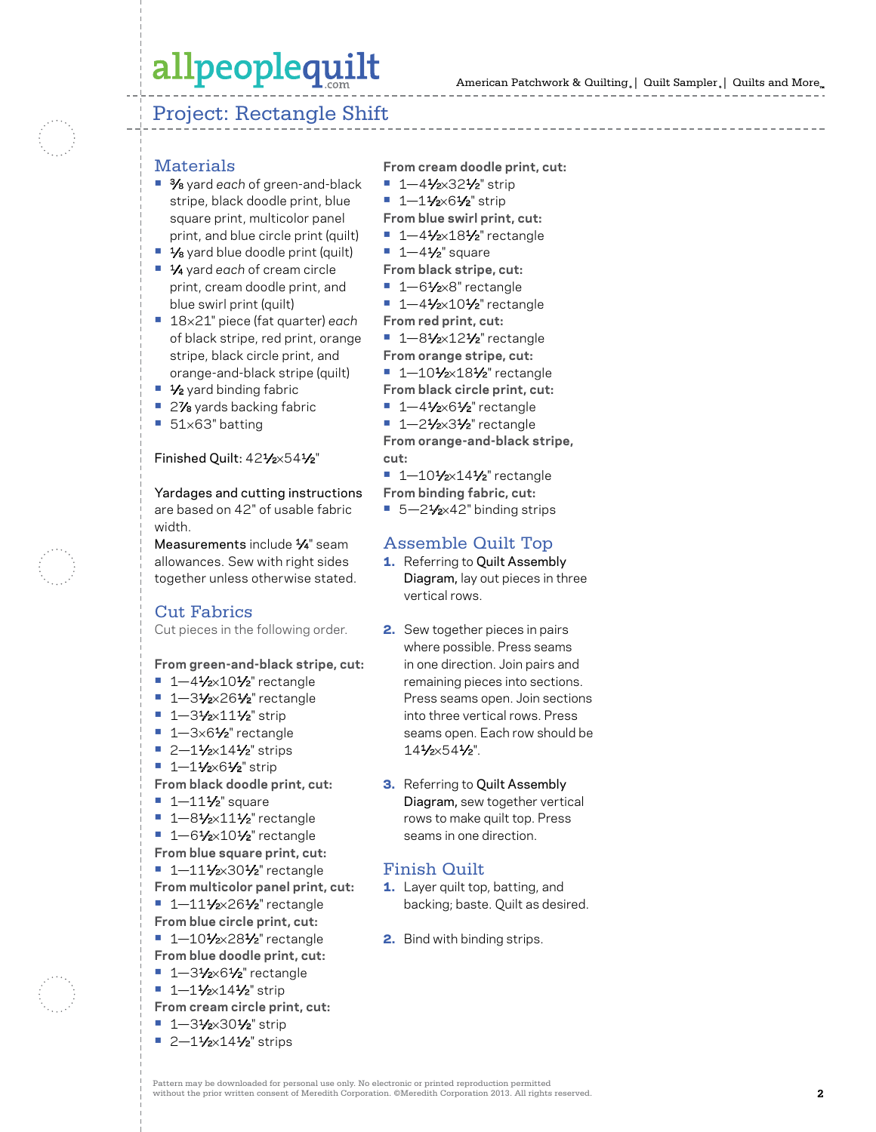# allpeoplequilt

### Project: Rectangle Shift

- Materials **•** 3⁄8 yard *each* of green-and-black stripe, black doodle print, blue square print, multicolor panel print, and blue circle print (quilt)
- **•** 1⁄8 yard blue doodle print (quilt)
- **•** 1⁄4 yard *each* of cream circle print, cream doodle print, and blue swirl print (quilt)
- **•** 18 ×21" piece (fat quarter) *each* of black stripe, red print, orange stripe, black circle print, and orange-and-black stripe (quilt)
- **•** 1⁄2 yard binding fabric
- **<sup>2</sup>/<sub>8</sub>** yards backing fabric
- **•** 51 ×63" batting

#### Finished Quilt: 42 1⁄2 ×54 1⁄2 "

Yardages and cutting instructions are based on 42" of usable fabric width.

Measurements include 1⁄4" seam allowances. Sew with right sides together unless otherwise stated.

### Cut Fabrics

Cut pieces in the following order.

**From green-and-black stripe, cut:**

- 
- **•** 1—4½×10½" rectangle<br>**•** 1—3½×26½" rectangle<br>**•** 1—3½×11½" strip<br>**•** 2—1½×14½" strips<br>**•** 1—1½×6½" strip
- 
- 
- 
- 
- **From black doodle print, cut:**
- 
- **•** 1—11½" square<br>• 1—8½×11½" rectangle<br>• 1—6½×10½" rectangle
- 
- **From blue square print, cut:**
- 1-111⁄2×301⁄2" rectangle
- **From multicolor panel print, cut:**
- 1-111⁄2×261⁄2" rectangle
- **From blue circle print, cut:**
- 1–101⁄2×281⁄2" rectangle **From blue doodle print, cut:**
- 
- **•** 1—31⁄2×61⁄2" rectangle **•** 1—11⁄2×141⁄2" strip
- **From cream circle print, cut:**
- 
- **•** 1—31⁄2×301⁄2" strip **•** 2—11⁄2×141⁄2" strips

**From cream doodle print, cut:**

- **•** 1—41⁄2×321⁄2" strip **•** 1—11⁄2×61⁄2" strip
- 
- **From blue swirl print, cut:**
- **•** 1—41⁄2×181⁄2" rectangle **•** 1—41⁄2" square
- 
- **From black stripe, cut:**
- 
- **•** 1—61⁄2×8" rectangle **•** 1—41⁄2×101⁄2" rectangle
- **From red print, cut:**
- 1-81⁄2×12<sup>1</sup>/<sub>2</sub>" rectangle
- **From orange stripe, cut:**
- 1–101⁄2×181⁄2" rectangle
- **From black circle print, cut:**
- **•** 1—41⁄2×61⁄2" rectangle **•** 1—21⁄2×31⁄2" rectangle
- 

**From orange-and-black stripe, cut:**

- **1** 1 10  $\frac{1}{2}$  x 14  $\frac{1}{2}$  rectangle
- **From binding fabric, cut:**
- 5-21⁄2×42" binding strips

#### Assemble Quilt Top

- **1.** Referring to Quilt Assembly Diagram, lay out pieces in three vertical rows.
- 2. Sew together pieces in pairs where possible. Press seams in one direction. Join pairs and remaining pieces into sections. Press seams open. Join sections into three vertical rows. Press seams open. Each row should be 14 1⁄2 ×54 1⁄2".
- **3.** Referring to Quilt Assembly Diagram, sew together vertical rows to make quilt top. Press seams in one direction.

### Finish Quilt

- 1. Layer quilt top, batting, and backing; baste. Quilt as desired.
- 2. Bind with binding strips.